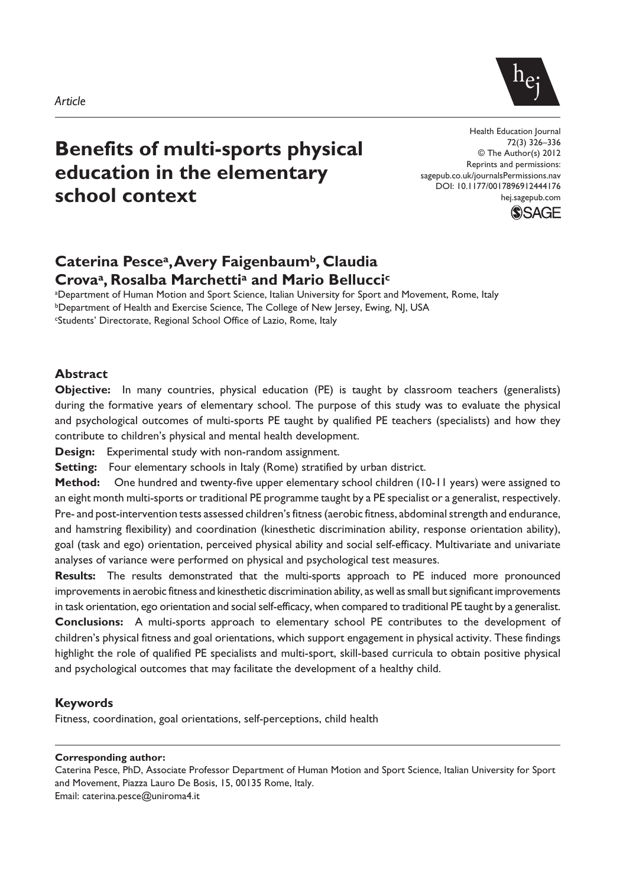

# **Benefits of multi-sports physical education in the elementary school context**

Health Education Journal 72(3) 326–336 © The Author(s) 2012 Reprints and permissions: sagepub.co.uk/journalsPermissions.nav DOI: 10.1177/0017896912444176 hej.sagepub.com



# **Caterina Pescea, Avery Faigenbaumb, Claudia Crovaa, Rosalba Marchettia and Mario Belluccic**

a Department of Human Motion and Sport Science, Italian University for Sport and Movement, Rome, Italy **bDepartment of Health and Exercise Science, The College of New Jersey, Ewing, NJ, USA** cStudents' Directorate, Regional School Office of Lazio, Rome, Italy

#### **Abstract**

**Objective:** In many countries, physical education (PE) is taught by classroom teachers (generalists) during the formative years of elementary school. The purpose of this study was to evaluate the physical and psychological outcomes of multi-sports PE taught by qualified PE teachers (specialists) and how they contribute to children's physical and mental health development.

**Design:** Experimental study with non-random assignment.

**Setting:** Four elementary schools in Italy (Rome) stratified by urban district.

**Method:** One hundred and twenty-five upper elementary school children (10-11 years) were assigned to an eight month multi-sports or traditional PE programme taught by a PE specialist or a generalist, respectively. Pre- and post-intervention tests assessed children's fitness (aerobic fitness, abdominal strength and endurance, and hamstring flexibility) and coordination (kinesthetic discrimination ability, response orientation ability), goal (task and ego) orientation, perceived physical ability and social self-efficacy. Multivariate and univariate analyses of variance were performed on physical and psychological test measures.

**Results:** The results demonstrated that the multi-sports approach to PE induced more pronounced improvements in aerobic fitness and kinesthetic discrimination ability, as well as small but significant improvements in task orientation, ego orientation and social self-efficacy, when compared to traditional PE taught by a generalist. **Conclusions:** A multi-sports approach to elementary school PE contributes to the development of children's physical fitness and goal orientations, which support engagement in physical activity. These findings highlight the role of qualified PE specialists and multi-sport, skill-based curricula to obtain positive physical and psychological outcomes that may facilitate the development of a healthy child.

#### **Keywords**

Fitness, coordination, goal orientations, self-perceptions, child health

#### **Corresponding author:**

Caterina Pesce, PhD, Associate Professor Department of Human Motion and Sport Science, Italian University for Sport and Movement, Piazza Lauro De Bosis, 15, 00135 Rome, Italy. Email: caterina.pesce@uniroma4.it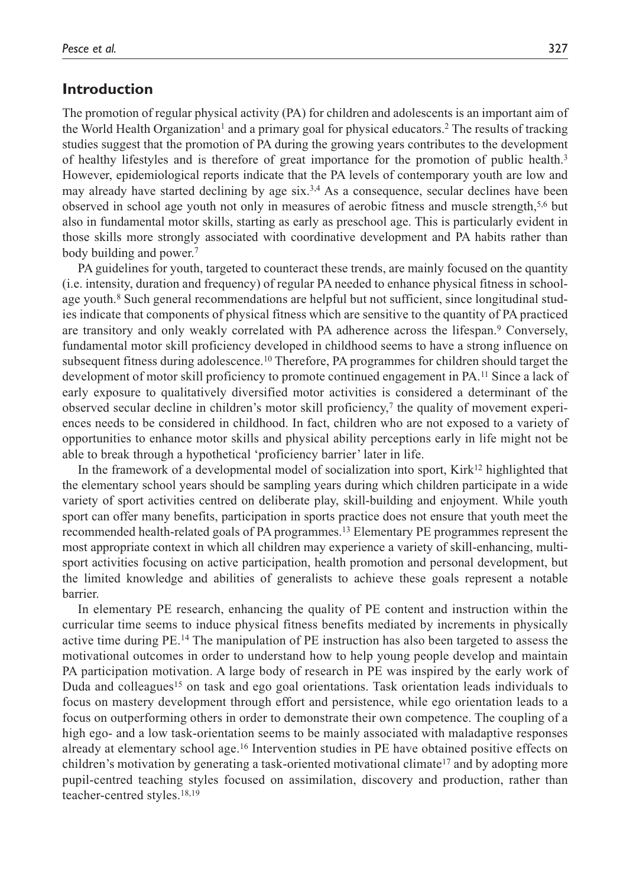## **Introduction**

The promotion of regular physical activity (PA) for children and adolescents is an important aim of the World Health Organization<sup>1</sup> and a primary goal for physical educators.<sup>2</sup> The results of tracking studies suggest that the promotion of PA during the growing years contributes to the development of healthy lifestyles and is therefore of great importance for the promotion of public health.3 However, epidemiological reports indicate that the PA levels of contemporary youth are low and may already have started declining by age  $six<sup>3,4</sup>$  As a consequence, secular declines have been observed in school age youth not only in measures of aerobic fitness and muscle strength,5,6 but also in fundamental motor skills, starting as early as preschool age. This is particularly evident in those skills more strongly associated with coordinative development and PA habits rather than body building and power.<sup>7</sup>

PA guidelines for youth, targeted to counteract these trends, are mainly focused on the quantity (i.e. intensity, duration and frequency) of regular PA needed to enhance physical fitness in schoolage youth.<sup>8</sup> Such general recommendations are helpful but not sufficient, since longitudinal studies indicate that components of physical fitness which are sensitive to the quantity of PA practiced are transitory and only weakly correlated with PA adherence across the lifespan.<sup>9</sup> Conversely, fundamental motor skill proficiency developed in childhood seems to have a strong influence on subsequent fitness during adolescence.<sup>10</sup> Therefore, PA programmes for children should target the development of motor skill proficiency to promote continued engagement in PA.11 Since a lack of early exposure to qualitatively diversified motor activities is considered a determinant of the observed secular decline in children's motor skill proficiency,<sup>7</sup> the quality of movement experiences needs to be considered in childhood. In fact, children who are not exposed to a variety of opportunities to enhance motor skills and physical ability perceptions early in life might not be able to break through a hypothetical 'proficiency barrier' later in life.

In the framework of a developmental model of socialization into sport, Kirk $12$  highlighted that the elementary school years should be sampling years during which children participate in a wide variety of sport activities centred on deliberate play, skill-building and enjoyment. While youth sport can offer many benefits, participation in sports practice does not ensure that youth meet the recommended health-related goals of PA programmes.13 Elementary PE programmes represent the most appropriate context in which all children may experience a variety of skill-enhancing, multisport activities focusing on active participation, health promotion and personal development, but the limited knowledge and abilities of generalists to achieve these goals represent a notable barrier.

In elementary PE research, enhancing the quality of PE content and instruction within the curricular time seems to induce physical fitness benefits mediated by increments in physically active time during PE.14 The manipulation of PE instruction has also been targeted to assess the motivational outcomes in order to understand how to help young people develop and maintain PA participation motivation. A large body of research in PE was inspired by the early work of Duda and colleagues<sup>15</sup> on task and ego goal orientations. Task orientation leads individuals to focus on mastery development through effort and persistence, while ego orientation leads to a focus on outperforming others in order to demonstrate their own competence. The coupling of a high ego- and a low task-orientation seems to be mainly associated with maladaptive responses already at elementary school age.16 Intervention studies in PE have obtained positive effects on children's motivation by generating a task-oriented motivational climate<sup>17</sup> and by adopting more pupil-centred teaching styles focused on assimilation, discovery and production, rather than teacher-centred styles.18,19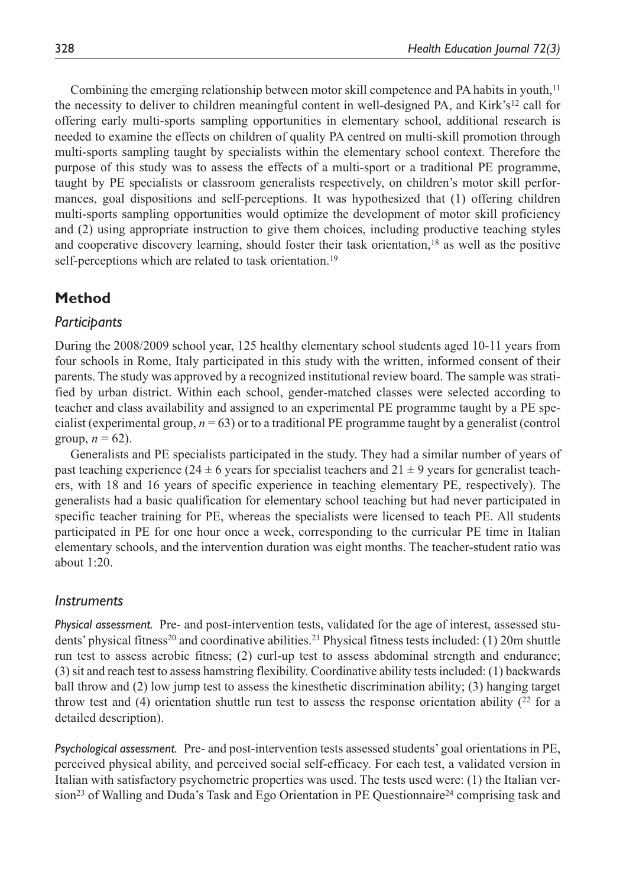Combining the emerging relationship between motor skill competence and PA habits in youth,<sup>11</sup> the necessity to deliver to children meaningful content in well-designed PA, and Kirk's<sup>12</sup> call for offering early multi-sports sampling opportunities in elementary school, additional research is needed to examine the effects on children of quality PA centred on multi-skill promotion through multi-sports sampling taught by specialists within the elementary school context. Therefore the purpose of this study was to assess the effects of a multi-sport or a traditional PE programme, taught by PE specialists or classroom generalists respectively, on children's motor skill performances, goal dispositions and self-perceptions. It was hypothesized that (1) offering children multi-sports sampling opportunities would optimize the development of motor skill proficiency and (2) using appropriate instruction to give them choices, including productive teaching styles and cooperative discovery learning, should foster their task orientation,<sup>18</sup> as well as the positive self-perceptions which are related to task orientation.<sup>19</sup>

# **Method**

## *Participants*

During the 2008/2009 school year, 125 healthy elementary school students aged 10-11 years from four schools in Rome, Italy participated in this study with the written, informed consent of their parents. The study was approved by a recognized institutional review board. The sample was stratified by urban district. Within each school, gender-matched classes were selected according to teacher and class availability and assigned to an experimental PE programme taught by a PE specialist (experimental group,  $n = 63$ ) or to a traditional PE programme taught by a generalist (control group,  $n = 62$ ).

Generalists and PE specialists participated in the study. They had a similar number of years of past teaching experience (24  $\pm$  6 years for specialist teachers and 21  $\pm$  9 years for generalist teachers, with 18 and 16 years of specific experience in teaching elementary PE, respectively). The generalists had a basic qualification for elementary school teaching but had never participated in specific teacher training for PE, whereas the specialists were licensed to teach PE. All students participated in PE for one hour once a week, corresponding to the curricular PE time in Italian elementary schools, and the intervention duration was eight months. The teacher-student ratio was about  $1:20$ .

## *Instruments*

*Physical assessment.* Pre- and post-intervention tests, validated for the age of interest, assessed students' physical fitness<sup>20</sup> and coordinative abilities.<sup>21</sup> Physical fitness tests included: (1) 20m shuttle run test to assess aerobic fitness; (2) curl-up test to assess abdominal strength and endurance; (3) sit and reach test to assess hamstring flexibility. Coordinative ability tests included: (1) backwards ball throw and (2) low jump test to assess the kinesthetic discrimination ability; (3) hanging target throw test and (4) orientation shuttle run test to assess the response orientation ability  $(2^2$  for a detailed description).

*Psychological assessment.* Pre- and post-intervention tests assessed students' goal orientations in PE, perceived physical ability, and perceived social self-efficacy. For each test, a validated version in Italian with satisfactory psychometric properties was used. The tests used were: (1) the Italian version<sup>23</sup> of Walling and Duda's Task and Ego Orientation in PE Questionnaire<sup>24</sup> comprising task and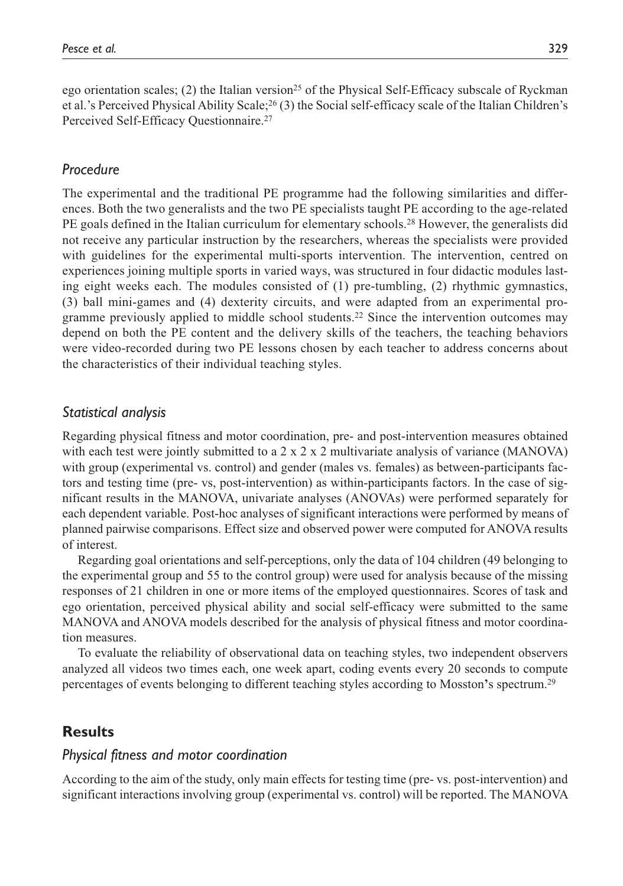ego orientation scales; (2) the Italian version<sup>25</sup> of the Physical Self-Efficacy subscale of Ryckman et al.'s Perceived Physical Ability Scale;26 (3) the Social self-efficacy scale of the Italian Children's Perceived Self-Efficacy Questionnaire.27

#### *Procedure*

The experimental and the traditional PE programme had the following similarities and differences. Both the two generalists and the two PE specialists taught PE according to the age-related PE goals defined in the Italian curriculum for elementary schools.28 However, the generalists did not receive any particular instruction by the researchers, whereas the specialists were provided with guidelines for the experimental multi-sports intervention. The intervention, centred on experiences joining multiple sports in varied ways, was structured in four didactic modules lasting eight weeks each. The modules consisted of (1) pre-tumbling, (2) rhythmic gymnastics, (3) ball mini-games and (4) dexterity circuits, and were adapted from an experimental programme previously applied to middle school students.22 Since the intervention outcomes may depend on both the PE content and the delivery skills of the teachers, the teaching behaviors were video-recorded during two PE lessons chosen by each teacher to address concerns about the characteristics of their individual teaching styles.

#### *Statistical analysis*

Regarding physical fitness and motor coordination, pre- and post-intervention measures obtained with each test were jointly submitted to a  $2 \times 2 \times 2$  multivariate analysis of variance (MANOVA) with group (experimental vs. control) and gender (males vs. females) as between-participants factors and testing time (pre- vs, post-intervention) as within-participants factors. In the case of significant results in the MANOVA, univariate analyses (ANOVAs) were performed separately for each dependent variable. Post-hoc analyses of significant interactions were performed by means of planned pairwise comparisons. Effect size and observed power were computed for ANOVA results of interest.

Regarding goal orientations and self-perceptions, only the data of 104 children (49 belonging to the experimental group and 55 to the control group) were used for analysis because of the missing responses of 21 children in one or more items of the employed questionnaires. Scores of task and ego orientation, perceived physical ability and social self-efficacy were submitted to the same MANOVA and ANOVA models described for the analysis of physical fitness and motor coordination measures.

To evaluate the reliability of observational data on teaching styles, two independent observers analyzed all videos two times each, one week apart, coding events every 20 seconds to compute percentages of events belonging to different teaching styles according to Mosston**'**s spectrum.29

## **Results**

## *Physical fitness and motor coordination*

According to the aim of the study, only main effects for testing time (pre- vs. post-intervention) and significant interactions involving group (experimental vs. control) will be reported. The MANOVA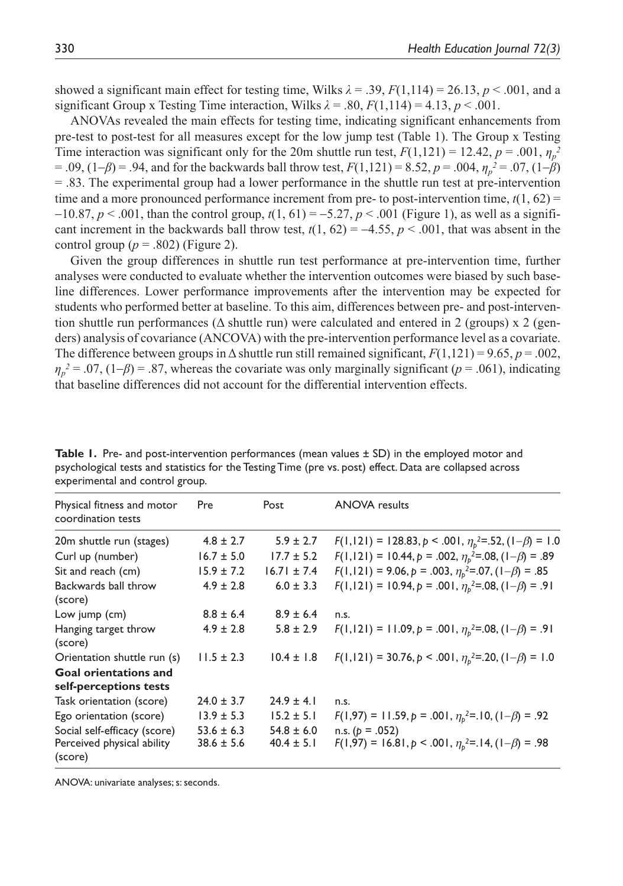showed a significant main effect for testing time, Wilks  $\lambda = .39$ ,  $F(1,114) = 26.13$ ,  $p < .001$ , and a significant Group x Testing Time interaction, Wilks  $\lambda = .80$ ,  $F(1,114) = 4.13$ ,  $p < .001$ .

ANOVAs revealed the main effects for testing time, indicating significant enhancements from pre-test to post-test for all measures except for the low jump test (Table 1). The Group x Testing Time interaction was significant only for the 20m shuttle run test,  $F(1,121) = 12.42$ ,  $p = .001$ ,  $\eta_p^2$ = .09, (1-*β*) = .94, and for the backwards ball throw test, *F*(1,121) = 8.52, *p* = .004, *ηp <sup>2</sup>* = .07, (1-*β*) = .83. The experimental group had a lower performance in the shuttle run test at pre-intervention time and a more pronounced performance increment from pre- to post-intervention time,  $t(1, 62)$  =  $-10.87, p < .001$ , than the control group,  $t(1, 61) = -5.27, p < .001$  (Figure 1), as well as a significant increment in the backwards ball throw test,  $t(1, 62) = -4.55$ ,  $p < .001$ , that was absent in the control group  $(p = .802)$  (Figure 2).

Given the group differences in shuttle run test performance at pre-intervention time, further analyses were conducted to evaluate whether the intervention outcomes were biased by such baseline differences. Lower performance improvements after the intervention may be expected for students who performed better at baseline. To this aim, differences between pre- and post-intervention shuttle run performances ( $\Delta$  shuttle run) were calculated and entered in 2 (groups) x 2 (genders) analysis of covariance (ANCOVA) with the pre-intervention performance level as a covariate. The difference between groups in  $\Delta$  shuttle run still remained significant,  $F(1,121) = 9.65$ ,  $p = .002$ ,  $\eta_p^2 = .07$ , (1-*β*) = .87, whereas the covariate was only marginally significant (*p* = .061), indicating that baseline differences did not account for the differential intervention effects.

| $\sim$                                                                |                                  |                                  |                                                                                     |
|-----------------------------------------------------------------------|----------------------------------|----------------------------------|-------------------------------------------------------------------------------------|
| Physical fitness and motor<br>coordination tests                      | Pre                              | Post                             | <b>ANOVA</b> results                                                                |
| 20m shuttle run (stages)                                              | $4.8 \pm 2.7$                    | $5.9 \pm 2.7$                    | $F(1,121) = 128.83, p < .001, \eta_b^2 = .52, (1-\beta) = 1.0$                      |
| Curl up (number)                                                      | $16.7 \pm 5.0$                   | $17.7 \pm 5.2$                   | $F(1,121) = 10.44, p = .002, \eta_{b}^{2} = .08, (1-\beta) = .89$                   |
| Sit and reach (cm)                                                    | $15.9 \pm 7.2$                   | $16.71 \pm 7.4$                  | $F(1,121) = 9.06, p = .003, \eta_b^2 = .07, (1-\beta) = .85$                        |
| Backwards ball throw<br>(score)                                       | $4.9 \pm 2.8$                    | $6.0 \pm 3.3$                    | $F(1,121) = 10.94, p = .001, \eta_b^2 = .08, (1-\beta) = .91$                       |
| Low jump (cm)                                                         | $8.8 \pm 6.4$                    | $8.9 \pm 6.4$                    | n.s.                                                                                |
| Hanging target throw<br>(score)                                       | $4.9 \pm 2.8$                    | $5.8 \pm 2.9$                    | $F(1,121) = 11.09, p = .001, \eta_b^2 = .08, (1-\beta) = .91$                       |
| Orientation shuttle run (s)                                           | $11.5 \pm 2.3$                   | $10.4 \pm 1.8$                   | $F(1,121) = 30.76, p < .001, \eta_b^2 = .20, (1-\beta) = 1.0$                       |
| <b>Goal orientations and</b><br>self-perceptions tests                |                                  |                                  |                                                                                     |
| Task orientation (score)                                              | $24.0 \pm 3.7$                   | $24.9 \pm 4.1$                   | n.s.                                                                                |
| Ego orientation (score)                                               | $13.9 \pm 5.3$                   | $15.2 \pm 5.1$                   | $F(1,97) = 11.59, p = .001, \eta_b^2 = .10, (1-\beta) = .92$                        |
| Social self-efficacy (score)<br>Perceived physical ability<br>(score) | $53.6 \pm 6.3$<br>$38.6 \pm 5.6$ | $54.8 \pm 6.0$<br>$40.4 \pm 5.1$ | n.s. ( $p = .052$ )<br>$F(1,97) = 16.81, p < .001, \eta_b^2 = .14, (1-\beta) = .98$ |

**Table 1.** Pre- and post-intervention performances (mean values  $\pm$  SD) in the employed motor and psychological tests and statistics for the Testing Time (pre vs. post) effect. Data are collapsed across experimental and control group.

ANOVA: univariate analyses; s: seconds.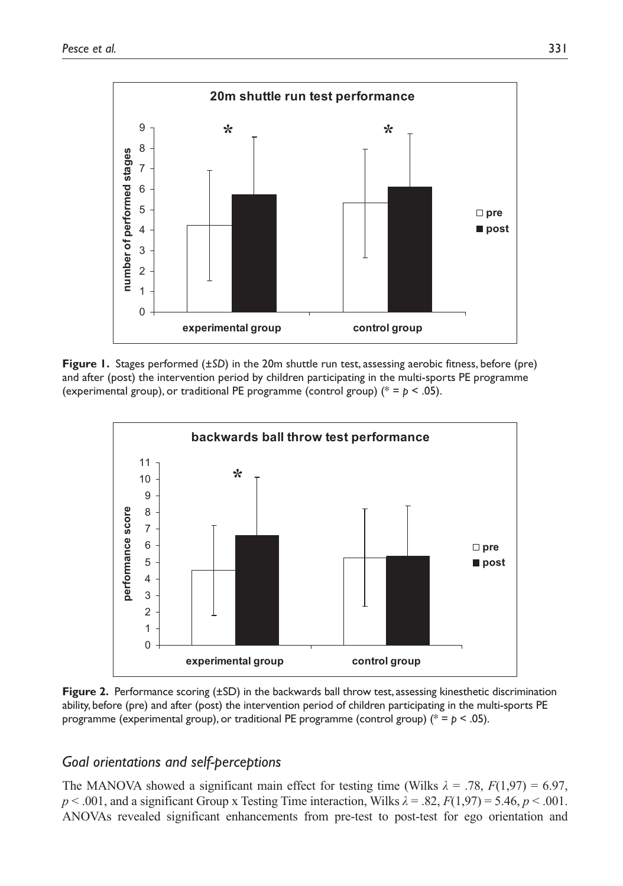

**Figure 1.** Stages performed (±*SD*) in the 20m shuttle run test, assessing aerobic fitness, before (pre) and after (post) the intervention period by children participating in the multi-sports PE programme (experimental group), or traditional PE programme (control group) ( $* = p < .05$ ).



**Figure 2.** Performance scoring (±SD) in the backwards ball throw test, assessing kinesthetic discrimination ability, before (pre) and after (post) the intervention period of children participating in the multi-sports PE programme (experimental group), or traditional PE programme (control group) (\* = *p* < .05).

## *Goal orientations and self-perceptions*

The MANOVA showed a significant main effect for testing time (Wilks  $\lambda = .78$ ,  $F(1,97) = 6.97$ ,  $p < .001$ , and a significant Group x Testing Time interaction, Wilks  $\lambda = .82$ ,  $F(1,97) = 5.46$ ,  $p < .001$ . ANOVAs revealed significant enhancements from pre-test to post-test for ego orientation and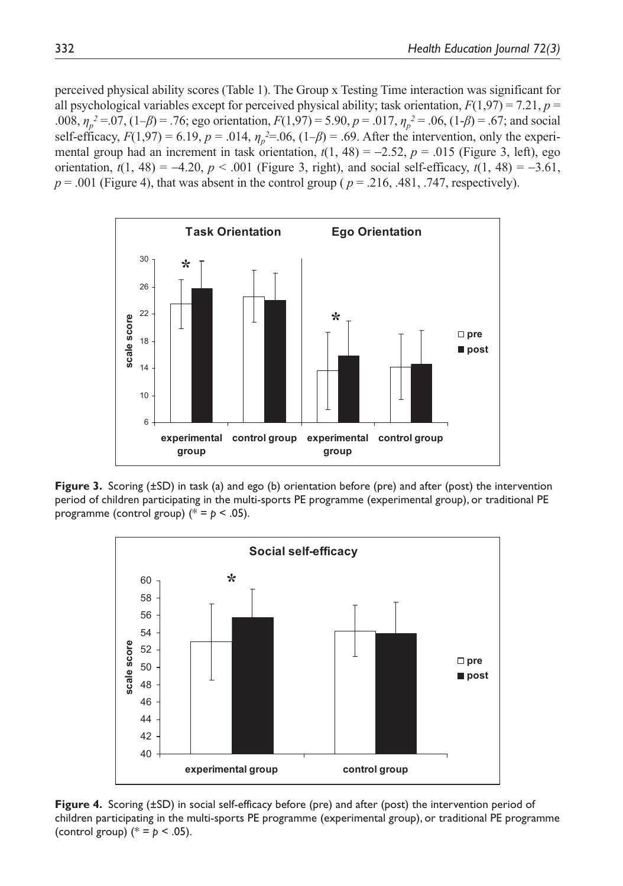perceived physical ability scores (Table 1). The Group x Testing Time interaction was significant for all psychological variables except for perceived physical ability; task orientation,  $F(1,97) = 7.21$ ,  $p =$ .008,  $\eta_p^2 = 0.07$ ,  $(1-\beta) = 0.76$ ; ego orientation,  $F(1,97) = 5.90$ ,  $p = 0.017$ ,  $\eta_p^2 = 0.06$ ,  $(1-\beta) = 0.67$ ; and social self-efficacy,  $F(1,97) = 6.19$ ,  $p = .014$ ,  $\eta_p^2 = .06$ ,  $(1-\beta) = .69$ . After the intervention, only the experimental group had an increment in task orientation,  $t(1, 48) = -2.52$ ,  $p = .015$  (Figure 3, left), ego orientation,  $t(1, 48) = -4.20$ ,  $p < .001$  (Figure 3, right), and social self-efficacy,  $t(1, 48) = -3.61$ ,  $p = .001$  (Figure 4), that was absent in the control group ( $p = .216$ , .481, .747, respectively).



**Figure 3.** Scoring ( $\pm$ SD) in task (a) and ego (b) orientation before (pre) and after (post) the intervention period of children participating in the multi-sports PE programme (experimental group), or traditional PE programme (control group)  $(* = p < .05)$ .



Figure 4. Scoring ( $\pm$ SD) in social self-efficacy before (pre) and after (post) the intervention period of children participating in the multi-sports PE programme (experimental group), or traditional PE programme (control group)  $(*) = p < .05$ ).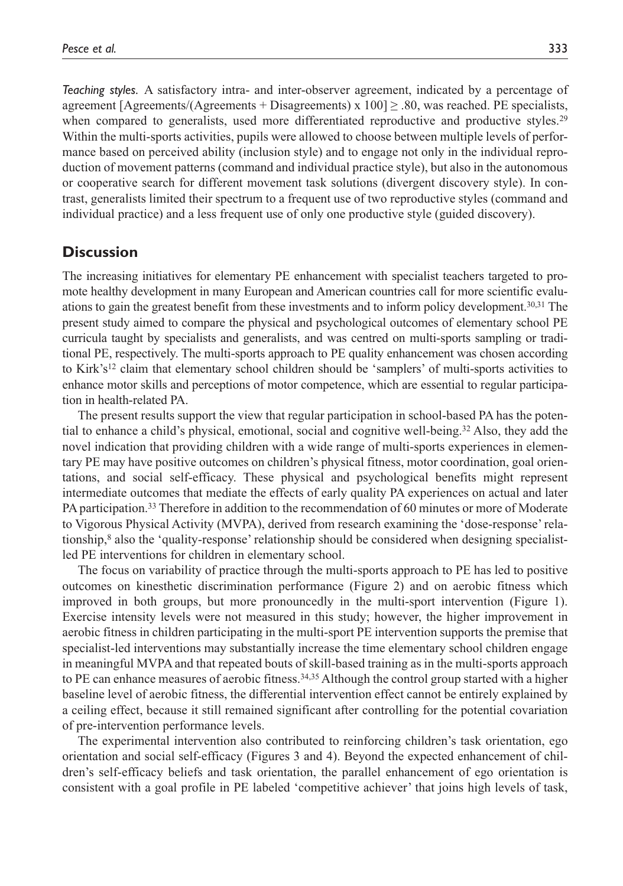*Teaching styles.* A satisfactory intra- and inter-observer agreement, indicated by a percentage of agreement [Agreements/(Agreements + Disagreements) x  $100$ ]  $\geq$  .80, was reached. PE specialists, when compared to generalists, used more differentiated reproductive and productive styles.<sup>29</sup> Within the multi-sports activities, pupils were allowed to choose between multiple levels of performance based on perceived ability (inclusion style) and to engage not only in the individual reproduction of movement patterns (command and individual practice style), but also in the autonomous or cooperative search for different movement task solutions (divergent discovery style). In contrast, generalists limited their spectrum to a frequent use of two reproductive styles (command and individual practice) and a less frequent use of only one productive style (guided discovery).

## **Discussion**

The increasing initiatives for elementary PE enhancement with specialist teachers targeted to promote healthy development in many European and American countries call for more scientific evaluations to gain the greatest benefit from these investments and to inform policy development.30,31 The present study aimed to compare the physical and psychological outcomes of elementary school PE curricula taught by specialists and generalists, and was centred on multi-sports sampling or traditional PE, respectively. The multi-sports approach to PE quality enhancement was chosen according to Kirk's<sup>12</sup> claim that elementary school children should be 'samplers' of multi-sports activities to enhance motor skills and perceptions of motor competence, which are essential to regular participation in health-related PA.

The present results support the view that regular participation in school-based PA has the potential to enhance a child's physical, emotional, social and cognitive well-being.32 Also, they add the novel indication that providing children with a wide range of multi-sports experiences in elementary PE may have positive outcomes on children's physical fitness, motor coordination, goal orientations, and social self-efficacy. These physical and psychological benefits might represent intermediate outcomes that mediate the effects of early quality PA experiences on actual and later PA participation.33 Therefore in addition to the recommendation of 60 minutes or more of Moderate to Vigorous Physical Activity (MVPA), derived from research examining the 'dose-response' relationship,8 also the 'quality-response' relationship should be considered when designing specialistled PE interventions for children in elementary school.

The focus on variability of practice through the multi-sports approach to PE has led to positive outcomes on kinesthetic discrimination performance (Figure 2) and on aerobic fitness which improved in both groups, but more pronouncedly in the multi-sport intervention (Figure 1). Exercise intensity levels were not measured in this study; however, the higher improvement in aerobic fitness in children participating in the multi-sport PE intervention supports the premise that specialist-led interventions may substantially increase the time elementary school children engage in meaningful MVPA and that repeated bouts of skill-based training as in the multi-sports approach to PE can enhance measures of aerobic fitness.<sup>34,35</sup> Although the control group started with a higher baseline level of aerobic fitness, the differential intervention effect cannot be entirely explained by a ceiling effect, because it still remained significant after controlling for the potential covariation of pre-intervention performance levels.

The experimental intervention also contributed to reinforcing children's task orientation, ego orientation and social self-efficacy (Figures 3 and 4). Beyond the expected enhancement of children's self-efficacy beliefs and task orientation, the parallel enhancement of ego orientation is consistent with a goal profile in PE labeled 'competitive achiever' that joins high levels of task,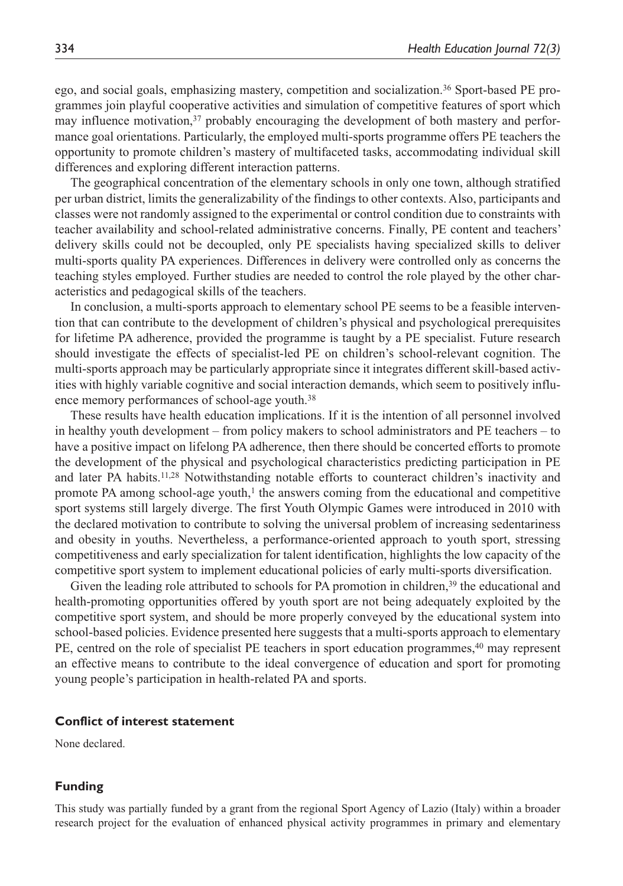ego, and social goals, emphasizing mastery, competition and socialization.36 Sport-based PE programmes join playful cooperative activities and simulation of competitive features of sport which may influence motivation,37 probably encouraging the development of both mastery and performance goal orientations. Particularly, the employed multi-sports programme offers PE teachers the opportunity to promote children's mastery of multifaceted tasks, accommodating individual skill differences and exploring different interaction patterns.

The geographical concentration of the elementary schools in only one town, although stratified per urban district, limits the generalizability of the findings to other contexts. Also, participants and classes were not randomly assigned to the experimental or control condition due to constraints with teacher availability and school-related administrative concerns. Finally, PE content and teachers' delivery skills could not be decoupled, only PE specialists having specialized skills to deliver multi-sports quality PA experiences. Differences in delivery were controlled only as concerns the teaching styles employed. Further studies are needed to control the role played by the other characteristics and pedagogical skills of the teachers.

In conclusion, a multi-sports approach to elementary school PE seems to be a feasible intervention that can contribute to the development of children's physical and psychological prerequisites for lifetime PA adherence, provided the programme is taught by a PE specialist. Future research should investigate the effects of specialist-led PE on children's school-relevant cognition. The multi-sports approach may be particularly appropriate since it integrates different skill-based activities with highly variable cognitive and social interaction demands, which seem to positively influence memory performances of school-age youth.<sup>38</sup>

These results have health education implications. If it is the intention of all personnel involved in healthy youth development – from policy makers to school administrators and PE teachers – to have a positive impact on lifelong PA adherence, then there should be concerted efforts to promote the development of the physical and psychological characteristics predicting participation in PE and later PA habits.11,28 Notwithstanding notable efforts to counteract children's inactivity and promote PA among school-age youth, $1$  the answers coming from the educational and competitive sport systems still largely diverge. The first Youth Olympic Games were introduced in 2010 with the declared motivation to contribute to solving the universal problem of increasing sedentariness and obesity in youths. Nevertheless, a performance-oriented approach to youth sport, stressing competitiveness and early specialization for talent identification, highlights the low capacity of the competitive sport system to implement educational policies of early multi-sports diversification.

Given the leading role attributed to schools for PA promotion in children,<sup>39</sup> the educational and health-promoting opportunities offered by youth sport are not being adequately exploited by the competitive sport system, and should be more properly conveyed by the educational system into school-based policies. Evidence presented here suggests that a multi-sports approach to elementary PE, centred on the role of specialist PE teachers in sport education programmes,<sup>40</sup> may represent an effective means to contribute to the ideal convergence of education and sport for promoting young people's participation in health-related PA and sports.

#### **Conflict of interest statement**

None declared.

#### **Funding**

This study was partially funded by a grant from the regional Sport Agency of Lazio (Italy) within a broader research project for the evaluation of enhanced physical activity programmes in primary and elementary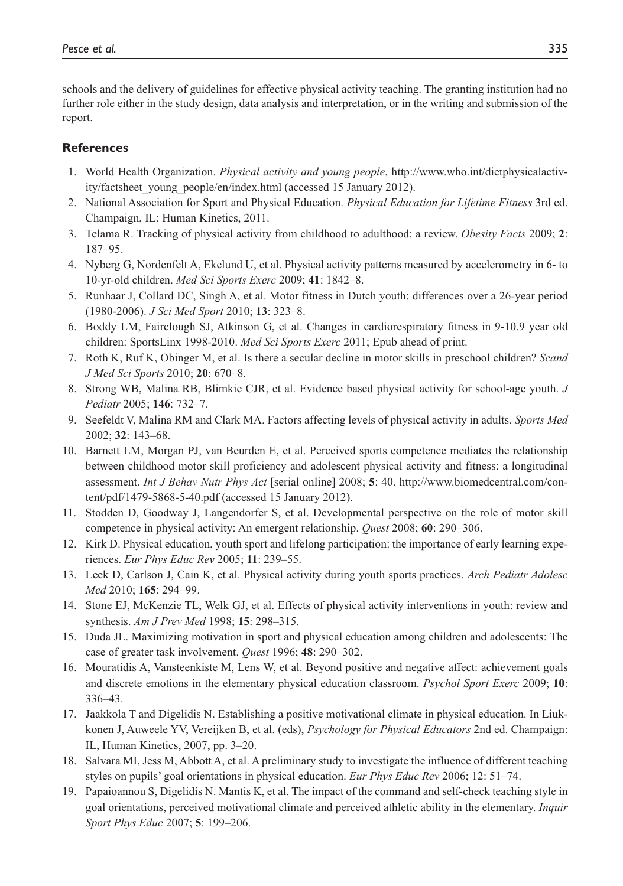schools and the delivery of guidelines for effective physical activity teaching. The granting institution had no further role either in the study design, data analysis and interpretation, or in the writing and submission of the report.

#### **References**

- 1. World Health Organization. *Physical activity and young people*, http://www.who.int/dietphysicalactivity/factsheet\_young\_people/en/index.html (accessed 15 January 2012).
- 2. National Association for Sport and Physical Education. *Physical Education for Lifetime Fitness* 3rd ed. Champaign, IL: Human Kinetics, 2011.
- 3. Telama R. Tracking of physical activity from childhood to adulthood: a review. *Obesity Facts* 2009; **2**: 187–95.
- 4. Nyberg G, Nordenfelt A, Ekelund U, et al. Physical activity patterns measured by accelerometry in 6- to 10-yr-old children. *Med Sci Sports Exerc* 2009; **41**: 1842–8.
- 5. Runhaar J, Collard DC, Singh A, et al. Motor fitness in Dutch youth: differences over a 26-year period (1980-2006). *J Sci Med Sport* 2010; **13**: 323–8.
- 6. Boddy LM, Fairclough SJ, Atkinson G, et al. Changes in cardiorespiratory fitness in 9-10.9 year old children: SportsLinx 1998-2010. *Med Sci Sports Exerc* 2011; Epub ahead of print.
- 7. Roth K, Ruf K, Obinger M, et al. Is there a secular decline in motor skills in preschool children? *Scand J Med Sci Sports* 2010; **20**: 670–8.
- 8. Strong WB, Malina RB, Blimkie CJR, et al. Evidence based physical activity for school-age youth. *J Pediatr* 2005; **146**: 732–7.
- 9. Seefeldt V, Malina RM and Clark MA. Factors affecting levels of physical activity in adults. *Sports Med* 2002; **32**: 143–68.
- 10. Barnett LM, Morgan PJ, van Beurden E, et al. Perceived sports competence mediates the relationship between childhood motor skill proficiency and adolescent physical activity and fitness: a longitudinal assessment. *Int J Behav Nutr Phys Act* [serial online] 2008; **5**: 40. http://www.biomedcentral.com/content/pdf/1479-5868-5-40.pdf (accessed 15 January 2012).
- 11. Stodden D, Goodway J, Langendorfer S, et al. Developmental perspective on the role of motor skill competence in physical activity: An emergent relationship. *Quest* 2008; **60**: 290–306.
- 12. Kirk D. Physical education, youth sport and lifelong participation: the importance of early learning experiences. *Eur Phys Educ Rev* 2005; **11**: 239–55.
- 13. Leek D, Carlson J, Cain K, et al. Physical activity during youth sports practices. *Arch Pediatr Adolesc Med* 2010; **165**: 294–99.
- 14. Stone EJ, McKenzie TL, Welk GJ, et al. Effects of physical activity interventions in youth: review and synthesis. *Am J Prev Med* 1998; **15**: 298–315.
- 15. Duda JL. Maximizing motivation in sport and physical education among children and adolescents: The case of greater task involvement. *Quest* 1996; **48**: 290–302.
- 16. Mouratidis A, Vansteenkiste M, Lens W, et al. Beyond positive and negative affect: achievement goals and discrete emotions in the elementary physical education classroom. *Psychol Sport Exerc* 2009; **10**: 336–43.
- 17. Jaakkola T and Digelidis N. Establishing a positive motivational climate in physical education. In Liukkonen J, Auweele YV, Vereijken B, et al. (eds), *Psychology for Physical Educators* 2nd ed. Champaign: IL, Human Kinetics, 2007, pp. 3–20.
- 18. Salvara MI, Jess M, Abbott A, et al. A preliminary study to investigate the influence of different teaching styles on pupils' goal orientations in physical education. *Eur Phys Educ Rev* 2006; 12: 51–74.
- 19. Papaioannou S, Digelidis N. Mantis K, et al. The impact of the command and self-check teaching style in goal orientations, perceived motivational climate and perceived athletic ability in the elementary. *Inquir Sport Phys Educ* 2007; **5**: 199–206.